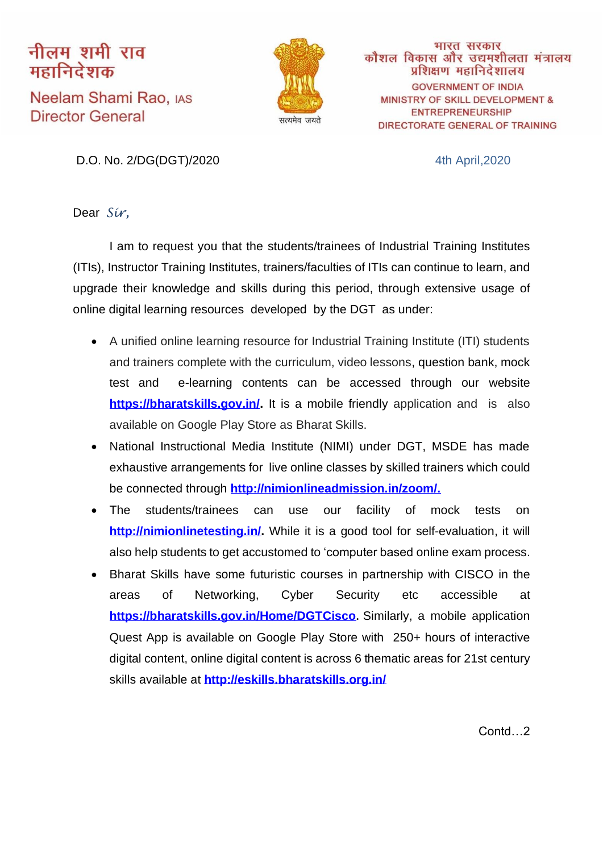## नीलम शमी राव महानिदेशक

Neelam Shami Rao, IAS **Director General** 



भारत सरकार कौशल विकास और उद्यमशीलता मंत्रालय प्रशिक्षण महानिदेशालय **GOVERNMENT OF INDIA MINISTRY OF SKILL DEVELOPMENT & ENTREPRENEURSHIP** DIRECTORATE GENERAL OF TRAINING

D.O. No. 2/DG(DGT)/2020 4th April,2020

Dear *Sir,*

I am to request you that the students/trainees of Industrial Training Institutes (ITIs), Instructor Training Institutes, trainers/faculties of ITIs can continue to learn, and upgrade their knowledge and skills during this period, through extensive usage of online digital learning resources developed by the DGT as under:

- A unified online learning resource for Industrial Training Institute (ITI) students and trainers complete with the curriculum, video lessons, question bank, mock test and e-learning contents can be accessed through our website [https://bharatskills.gov.in/.](https://bharatskills.gov.in/) It is a mobile friendly application and is also available on Google Play Store as Bharat Skills.
- National Instructional Media Institute (NIMI) under DGT, MSDE has made exhaustive arrangements for live online classes by skilled trainers which could be connected through **[http://nimionlineadmission.in/zoom/.](http://nimionlineadmission.in/zoom/)**
- The students/trainees can use our facility of mock tests on **[http://nimionlinetesting.in/.](http://nimionlinetesting.in/)** While it is a good tool for self-evaluation, it will also help students to get accustomed to 'computer based online exam process.
- Bharat Skills have some futuristic courses in partnership with CISCO in the areas of Networking, Cyber Security etc accessible at **<https://bharatskills.gov.in/Home/DGTCisco>.** Similarly, a mobile application Quest App is available on Google Play Store with 250+ hours of interactive digital content, online digital content is across 6 thematic areas for 21st century skills available at **<http://eskills.bharatskills.org.in/>**